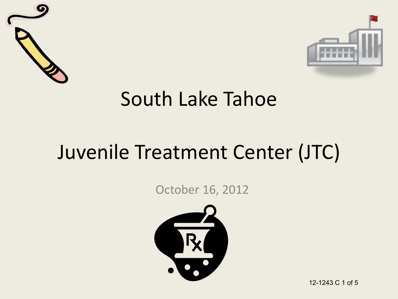



#### South Lake Tahoe

### Juvenile Treatment Center (JTC)

October 16, 2012



12-1243 C 1 of 5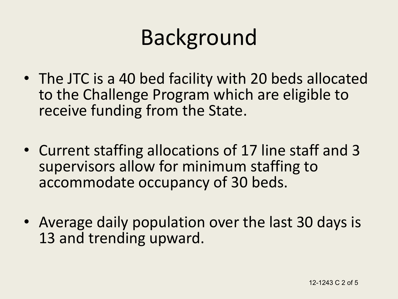# Background

- The JTC is a 40 bed facility with 20 beds allocated to the Challenge Program which are eligible to receive funding from the State.
- Current staffing allocations of 17 line staff and 3 supervisors allow for minimum staffing to accommodate occupancy of 30 beds.
- Average daily population over the last 30 days is 13 and trending upward.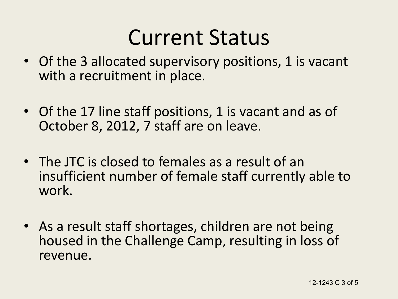## Current Status

- Of the 3 allocated supervisory positions, 1 is vacant with a recruitment in place.
- Of the 17 line staff positions, 1 is vacant and as of October 8, 2012, 7 staff are on leave.
- The JTC is closed to females as a result of an insufficient number of female staff currently able to work.
- As a result staff shortages, children are not being housed in the Challenge Camp, resulting in loss of revenue.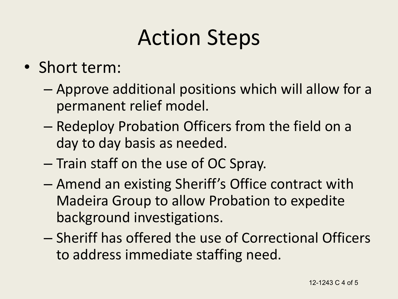# Action Steps

- Short term:
	- Approve additional positions which will allow for a permanent relief model.
	- Redeploy Probation Officers from the field on a day to day basis as needed.
	- Train staff on the use of OC Spray.
	- Amend an existing Sheriff's Office contract with Madeira Group to allow Probation to expedite background investigations.
	- Sheriff has offered the use of Correctional Officers to address immediate staffing need.